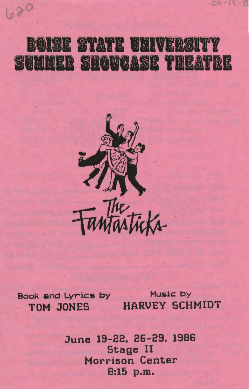## OISE STATE UNIVERSITY  $\left| \frac{5}{2} \right\rangle$ SUMMER SHOWCASE THEATRE



Book and Lyrics by TOM JONES

020

Music by **HARVEY SCHMIDT** 

 $06 - 19 - x$ 

June 19-22, 26-29, 1986 Stage II Morrison Center 8:15 p.m.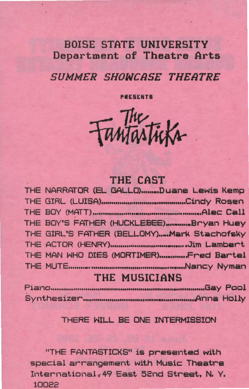## **BOISE STATE UNIVERSITY** Department of Theatre Arts

## **SUMMER SHOWCASE THEATRE**

**PRESENTS** 

Fantasticks

## THE CAST

| THE NARRATOR (EL GALLO)Duane Lewis Kemp    |
|--------------------------------------------|
|                                            |
|                                            |
| THE BOY'S FATHER (HUCKLEBEE)Bryan Huey     |
| THE GIRL'S FATHER (BELLOMY)Mark Stachofsky |
|                                            |
| THE MAN WHO DIES (MORTIMER)  Fred Bartel   |
|                                            |
|                                            |

## **THE MUSICIANS**

## THERE WILL BE ONE INTERMISSION

"THE FANTASTICKS" is presented with special arrangement with Music Theatre International, 49 East 52nd Street, N. Y. 10022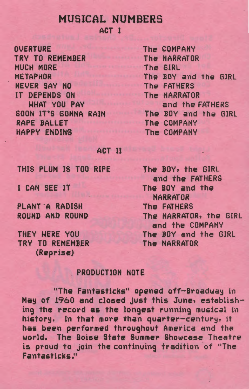# MUSICAL NUMBERS

ACT I

**OVERTURE** TRV TO REMEMBER MUCH MORE METAPHOR NEVER SAV NO IT DEPENDS ON WHAT VOU PAV SOON IT'S GONNA RAIN RAPE BALLET HAPPY ENDING

The COMPANY The NARRATOR The GIRL · The BOY and the GIRL The FATHERS The NARRATOR and the FATHERS The BOY and the GIRL The .COMPANY The COMPANY

#### **ACT II**

THIS PLUM IS TOO RIPE

I CAN SEE IT

PLANT A RADISH ROUND AND ROUND

THEY WERE VOU TRV TO REMEMBER (Reprise)

The BOY, the GIRL and the FATHERS The BOV and the NARRATOR The FATHERS The NARRATOR, the GIRL and the COMPANY The BOY and the GIRL The NARRATOR

## PRODUCTION NOTE

"The Fantasticks" opened off-Broadway in May of 1960 and closed just this June, establishing the record as the longest running musical in history. In that more than quarter-century, it has been performed throughout America and the world. The Boise State Summer Showcase Theatre is proud to join the continuing tradition of "The Fantasticks."